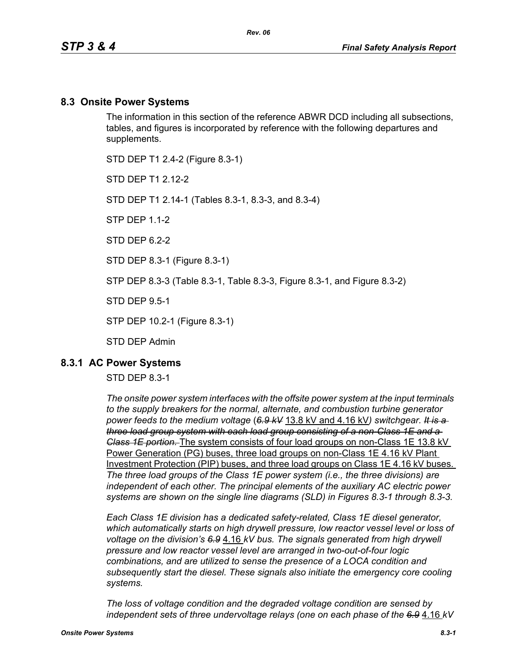### **8.3 Onsite Power Systems**

The information in this section of the reference ABWR DCD including all subsections, tables, and figures is incorporated by reference with the following departures and supplements.

STD DEP T1 2.4-2 (Figure 8.3-1)

STD DFP T1 2 12-2

STD DEP T1 2.14-1 (Tables 8.3-1, 8.3-3, and 8.3-4)

STP DEP 1.1-2

STD DFP 62-2

STD DEP 8.3-1 (Figure 8.3-1)

STP DEP 8.3-3 (Table 8.3-1, Table 8.3-3, Figure 8.3-1, and Figure 8.3-2)

STD DEP 9.5-1

STP DEP 10.2-1 (Figure 8.3-1)

STD DEP Admin

### **8.3.1 AC Power Systems**

#### STD DEP 8.3-1

*The onsite power system interfaces with the offsite power system at the input terminals to the supply breakers for the normal, alternate, and combustion turbine generator power feeds to the medium voltage* (*6.9 kV* 13.8 kV and 4.16 kV*) switchgear. It is a three load group system with each load group consisting of a non-Class 1E and a Class 1E portion.* The system consists of four load groups on non-Class 1E 13.8 kV Power Generation (PG) buses, three load groups on non-Class 1E 4.16 kV Plant Investment Protection (PIP) buses, and three load groups on Class 1E 4.16 kV buses. *The three load groups of the Class 1E power system (i.e., the three divisions) are independent of each other. The principal elements of the auxiliary AC electric power systems are shown on the single line diagrams (SLD) in Figures 8.3-1 through 8.3-3.*

*Each Class 1E division has a dedicated safety-related, Class 1E diesel generator, which automatically starts on high drywell pressure, low reactor vessel level or loss of voltage on the division's 6.9* 4.16 *kV bus. The signals generated from high drywell pressure and low reactor vessel level are arranged in two-out-of-four logic combinations, and are utilized to sense the presence of a LOCA condition and subsequently start the diesel. These signals also initiate the emergency core cooling systems.*

*The loss of voltage condition and the degraded voltage condition are sensed by independent sets of three undervoltage relays (one on each phase of the 6.9* 4.16 *kV*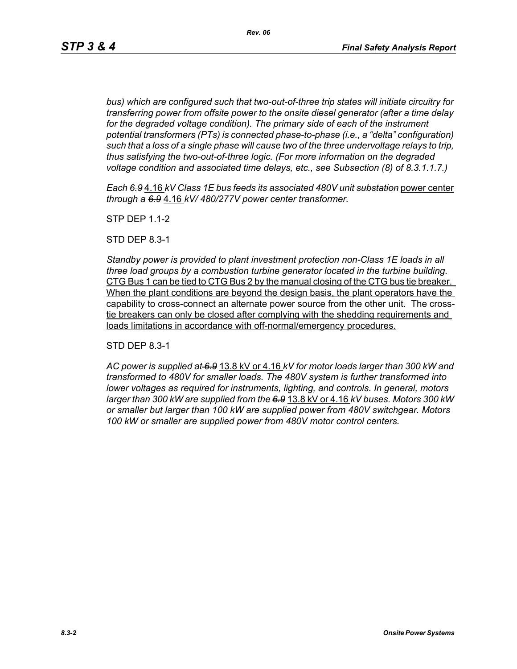*bus) which are configured such that two-out-of-three trip states will initiate circuitry for transferring power from offsite power to the onsite diesel generator (after a time delay*  for the degraded voltage condition). The primary side of each of the instrument *potential transformers (PTs) is connected phase-to-phase (i.e., a "delta" configuration) such that a loss of a single phase will cause two of the three undervoltage relays to trip, thus satisfying the two-out-of-three logic. (For more information on the degraded voltage condition and associated time delays, etc., see Subsection (8) of 8.3.1.1.7.)*

*Each 6.9* 4.16 *kV Class 1E bus feeds its associated 480V unit substation* power center *through a 6.9* 4.16 *kV/ 480/277V power center transformer.*

STP DEP 1.1-2

STD DEP 8.3-1

*Standby power is provided to plant investment protection non-Class 1E loads in all three load groups by a combustion turbine generator located in the turbine building.* CTG Bus 1 can be tied to CTG Bus 2 by the manual closing of the CTG bus tie breaker. When the plant conditions are beyond the design basis, the plant operators have the capability to cross-connect an alternate power source from the other unit. The crosstie breakers can only be closed after complying with the shedding requirements and loads limitations in accordance with off-normal/emergency procedures.

STD DEP 8.3-1

*AC power is supplied at 6.9* 13.8 kV or 4.16 *kV for motor loads larger than 300 kW and transformed to 480V for smaller loads. The 480V system is further transformed into lower voltages as required for instruments, lighting, and controls. In general, motors larger than 300 kW are supplied from the 6.9* 13.8 kV or 4.16 *kV buses. Motors 300 kW or smaller but larger than 100 kW are supplied power from 480V switchgear. Motors 100 kW or smaller are supplied power from 480V motor control centers.*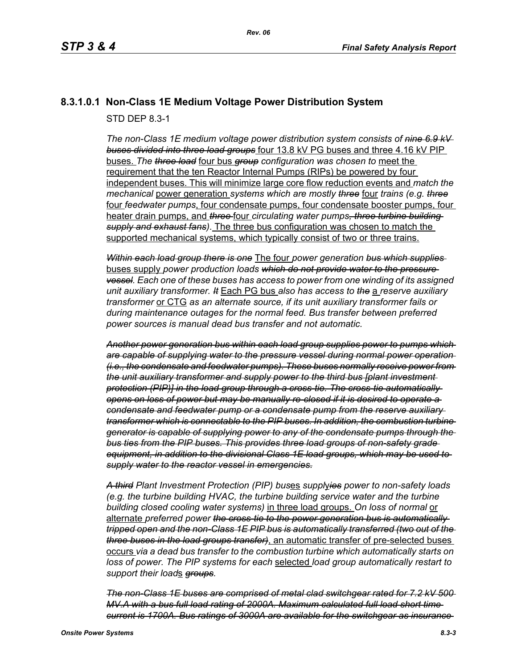# **8.3.1.0.1 Non-Class 1E Medium Voltage Power Distribution System**

STD DEP 8.3-1

*The non-Class 1E medium voltage power distribution system consists of nine 6.9 kV buses divided into three load groups* four 13.8 kV PG buses and three 4.16 kV PIP buses. *The three load* four bus *group configuration was chosen to* meet the requirement that the ten Reactor Internal Pumps (RIPs) be powered by four independent buses. This will minimize large core flow reduction events and *match the mechanical* power generation *systems which are mostly three* four *trains (e.g. three* four *feedwater pumps*, four condensate pumps, four condensate booster pumps, four heater drain pumps, and *three* four *circulating water pumps, three turbine building supply and exhaust fans)*. The three bus configuration was chosen to match the supported mechanical systems, which typically consist of two or three trains.

*Within each load group there is one* The four *power generation bus which supplies*  buses supply *power production loads which do not provide water to the pressure vessel. Each one of these buses has access to power from one winding of its assigned unit auxiliary transformer. It* Each PG bus *also has access to the* a *reserve auxiliary transformer* or CTG *as an alternate source, if its unit auxiliary transformer fails or during maintenance outages for the normal feed. Bus transfer between preferred power sources is manual dead bus transfer and not automatic.*

*Another power generation bus within each load group supplies power to pumps which are capable of supplying water to the pressure vessel during normal power operation (i.e., the condensate and feedwater pumps). These buses normally receive power from the unit auxiliary transformer and supply power to the third bus [plant investment protection (PIP)] in the load group through a cross-tie. The cross-tie automatically opens on loss of power but may be manually re-closed if it is desired to operate a condensate and feedwater pump or a condensate pump from the reserve auxiliary transformer which is connectable to the PIP buses. In addition, the combustion turbine generator is capable of supplying power to any of the condensate pumps through the bus ties from the PIP buses. This provides three load groups of non-safety grade equipment, in addition to the divisional Class 1E load groups, which may be used to supply water to the reactor vessel in emergencies.*

*A third Plant Investment Protection (PIP) bus*es *suppl*y*ies power to non-safety loads (e.g. the turbine building HVAC, the turbine building service water and the turbine building closed cooling water systems)* in three load groups. *On loss of normal* or alternate *preferred power the cross-tie to the power generation bus is automatically tripped open and the non-Class 1E PIP bus is automatically transferred (two out of the three buses in the load groups transfer)*, an automatic transfer of pre-selected buses occurs *via a dead bus transfer to the combustion turbine which automatically starts on loss of power. The PIP systems for each* selected *load group automatically restart to support their load*s *groups.*

*The non-Class 1E buses are comprised of metal clad switchgear rated for 7.2 kV 500 MV.A with a bus full load rating of 2000A. Maximum calculated full load short time current is 1700A. Bus ratings of 3000A are available for the switchgear as insurance*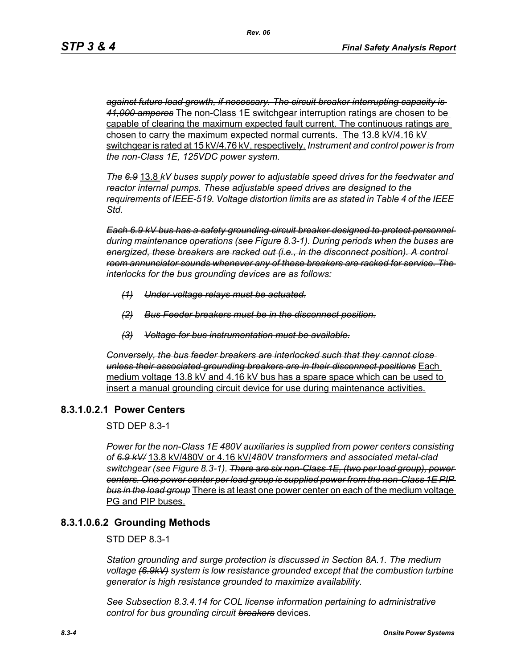*against future load growth, if necessary. The circuit breaker interrupting capacity is 41,000 amperes* The non-Class 1E switchgear interruption ratings are chosen to be capable of clearing the maximum expected fault current. The continuous ratings are chosen to carry the maximum expected normal currents. The 13.8 kV/4.16 kV switchgear is rated at 15 kV/4.76 kV, respectively. *Instrument and control power is from the non-Class 1E, 125VDC power system.*

*The 6.9* 13.8 *kV buses supply power to adjustable speed drives for the feedwater and reactor internal pumps. These adjustable speed drives are designed to the requirements of IEEE-519. Voltage distortion limits are as stated in Table 4 of the IEEE Std.*

*Each 6.9 kV bus has a safety grounding circuit breaker designed to protect personnel during maintenance operations (see Figure 8.3-1). During periods when the buses are energized, these breakers are racked out (i.e., in the disconnect position). A control room annunciator sounds whenever any of these breakers are racked for service. The interlocks for the bus grounding devices are as follows:*

- *(1) Under-voltage relays must be actuated.*
- *(2) Bus Feeder breakers must be in the disconnect position.*
- *(3) Voltage for bus instrumentation must be available.*

*Conversely, the bus feeder breakers are interlocked such that they cannot close unless their associated grounding breakers are in their disconnect positions* Each medium voltage 13.8 kV and 4.16 kV bus has a spare space which can be used to insert a manual grounding circuit device for use during maintenance activities.

### **8.3.1.0.2.1 Power Centers**

STD DEP 8.3-1

*Power for the non-Class 1E 480V auxiliaries is supplied from power centers consisting of 6.9 kV/* 13.8 kV/480V or 4.16 kV/*480V transformers and associated metal-clad switchgear (see Figure 8.3-1). There are six non-Class 1E, (two per load group), power centers. One power center per load group is supplied power from the non-Class 1E PIP bus in the load group* There is at least one power center on each of the medium voltage PG and PIP buses.

# **8.3.1.0.6.2 Grounding Methods**

STD DEP 8.3-1

*Station grounding and surge protection is discussed in Section 8A.1. The medium voltage (6.9kV) system is low resistance grounded except that the combustion turbine generator is high resistance grounded to maximize availability.*

*See Subsection 8.3.4.14 for COL license information pertaining to administrative control for bus grounding circuit breakers* devices.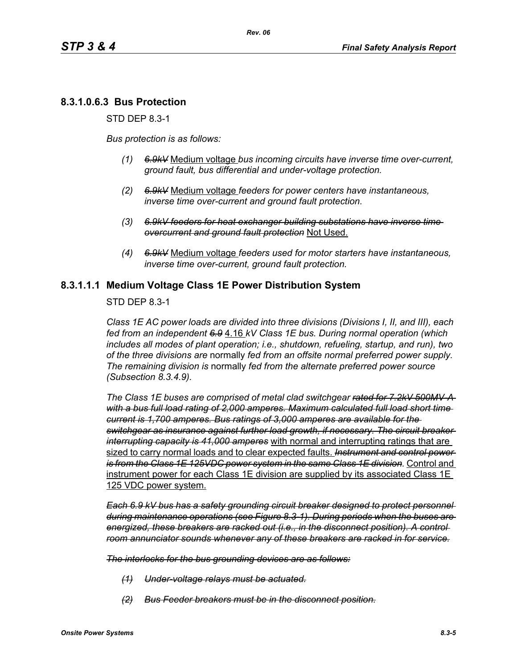# **8.3.1.0.6.3 Bus Protection**

STD DEP 8.3-1

*Bus protection is as follows:*

- *(1) 6.9kV* Medium voltage *bus incoming circuits have inverse time over-current, ground fault, bus differential and under-voltage protection.*
- *(2) 6.9kV* Medium voltage *feeders for power centers have instantaneous, inverse time over-current and ground fault protection.*
- *(3) 6.9kV feeders for heat exchanger building substations have inverse time overcurrent and ground fault protection* Not Used.
- *(4) 6.9kV* Medium voltage *feeders used for motor starters have instantaneous, inverse time over-current, ground fault protection.*

### **8.3.1.1.1 Medium Voltage Class 1E Power Distribution System**

STD DEP 8.3-1

*Class 1E AC power loads are divided into three divisions (Divisions I, II, and III), each fed from an independent 6.9* 4.16 *kV Class 1E bus. During normal operation (which includes all modes of plant operation; i.e., shutdown, refueling, startup, and run), two of the three divisions are* normally *fed from an offsite normal preferred power supply. The remaining division is* normally *fed from the alternate preferred power source (Subsection 8.3.4.9).*

*The Class 1E buses are comprised of metal clad switchgear rated for 7.2kV 500MV-A with a bus full load rating of 2,000 amperes. Maximum calculated full load short time current is 1,700 amperes. Bus ratings of 3,000 amperes are available for the switchgear as insurance against further load growth, if necessary. The circuit breaker interrupting capacity is 41,000 amperes* with normal and interrupting ratings that are sized to carry normal loads and to clear expected faults. *Instrument and control power is from the Class 1E 125VDC power system in the same Class 1E division.* Control and instrument power for each Class 1E division are supplied by its associated Class 1E 125 VDC power system.

*Each 6.9 kV bus has a safety grounding circuit breaker designed to protect personnel during maintenance operations (see Figure 8.3-1). During periods when the buses are energized, these breakers are racked out (i.e., in the disconnect position). A control room annunciator sounds whenever any of these breakers are racked in for service.*

*The interlocks for the bus grounding devices are as follows:*

- *(1) Under-voltage relays must be actuated.*
- *(2) Bus Feeder breakers must be in the disconnect position.*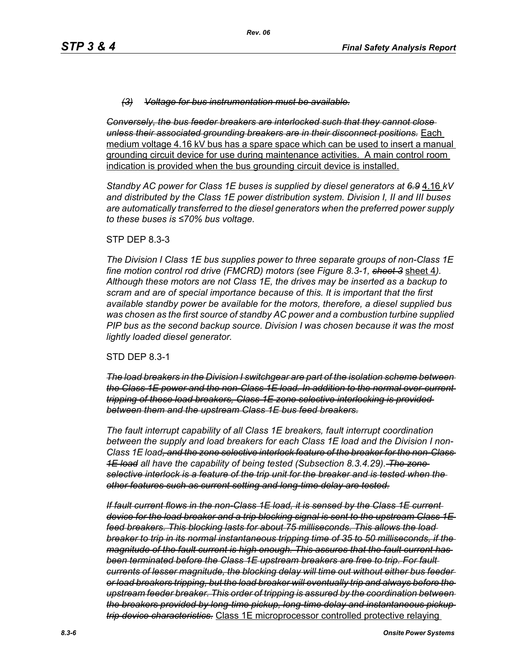#### *(3) Voltage for bus instrumentation must be available.*

*Conversely, the bus feeder breakers are interlocked such that they cannot close unless their associated grounding breakers are in their disconnect positions.* Each medium voltage 4.16 kV bus has a spare space which can be used to insert a manual grounding circuit device for use during maintenance activities. A main control room indication is provided when the bus grounding circuit device is installed.

*Standby AC power for Class 1E buses is supplied by diesel generators at 6.9* 4.16 *kV and distributed by the Class 1E power distribution system. Division I, II and III buses are automatically transferred to the diesel generators when the preferred power supply to these buses is ≤70% bus voltage.*

#### STP DEP 8.3-3

*The Division I Class 1E bus supplies power to three separate groups of non-Class 1E fine motion control rod drive (FMCRD) motors (see Figure 8.3-1, sheet 3* sheet 4*). Although these motors are not Class 1E, the drives may be inserted as a backup to scram and are of special importance because of this. It is important that the first available standby power be available for the motors, therefore, a diesel supplied bus was chosen as the first source of standby AC power and a combustion turbine supplied PIP bus as the second backup source. Division I was chosen because it was the most lightly loaded diesel generator.*

#### STD DEP 8.3-1

*The load breakers in the Division I switchgear are part of the isolation scheme between the Class 1E power and the non-Class 1E load. In addition to the normal over-current tripping of these load breakers, Class 1E zone selective interlocking is provided between them and the upstream Class 1E bus feed breakers.*

*The fault interrupt capability of all Class 1E breakers, fault interrupt coordination between the supply and load breakers for each Class 1E load and the Division I non-Class 1E load, and the zone selective interlock feature of the breaker for the non-Class 1E load all have the capability of being tested (Subsection 8.3.4.29). The zone selective interlock is a feature of the trip unit for the breaker and is tested when the other features such as current setting and long-time delay are tested.*

*If fault current flows in the non-Class 1E load, it is sensed by the Class 1E current device for the load breaker and a trip blocking signal is sent to the upstream Class 1E feed breakers. This blocking lasts for about 75 milliseconds. This allows the load breaker to trip in its normal instantaneous tripping time of 35 to 50 milliseconds, if the magnitude of the fault current is high enough. This assures that the fault current has been terminated before the Class 1E upstream breakers are free to trip. For fault currents of lesser magnitude, the blocking delay will time out without either bus feeder or load breakers tripping, but the load breaker will eventually trip and always before the upstream feeder breaker. This order of tripping is assured by the coordination between the breakers provided by long-time pickup, long-time delay and instantaneous pickup trip device characteristics.* Class 1E microprocessor controlled protective relaying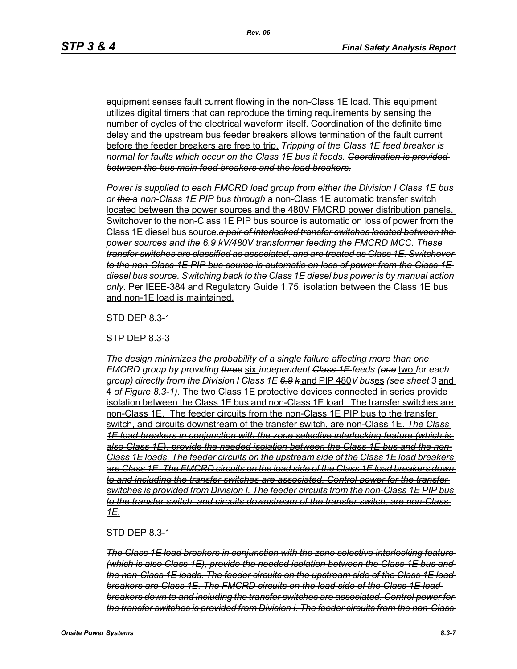equipment senses fault current flowing in the non-Class 1E load. This equipment utilizes digital timers that can reproduce the timing requirements by sensing the number of cycles of the electrical waveform itself. Coordination of the definite time delay and the upstream bus feeder breakers allows termination of the fault current before the feeder breakers are free to trip. *Tripping of the Class 1E feed breaker is normal for faults which occur on the Class 1E bus it feeds. Coordination is provided between the bus main feed breakers and the load breakers.*

*Power is supplied to each FMCRD load group from either the Division I Class 1E bus or the* a *non-Class 1E PIP bus through* a non-Class 1E automatic transfer switch located between the power sources and the 480V FMCRD power distribution panels. Switchover to the non-Class 1E PIP bus source is automatic on loss of power from the Class 1E diesel bus source.*a pair of interlocked transfer switches located between the power sources and the 6.9 kV/480V transformer feeding the FMCRD MCC. These transfer switches are classified as associated, and are treated as Class 1E. Switchover to the non-Class 1E PIP bus source is automatic on loss of power from the Class 1E diesel bus source. Switching back to the Class 1E diesel bus power is by manual action only.* Per IEEE-384 and Regulatory Guide 1.75, isolation between the Class 1E bus and non-1E load is maintained.

STD DEP 8.3-1

STP DEP 8.3-3

*The design minimizes the probability of a single failure affecting more than one FMCRD group by providing three* six *independent Class 1E feeds (one* two *for each group) directly from the Division I Class 1E 6.9 k* and PIP 480*V bus*es *(see sheet 3* and 4 *of Figure 8.3-1).* The two Class 1E protective devices connected in series provide isolation between the Class 1E bus and non-Class 1E load. The transfer switches are non-Class 1E. The feeder circuits from the non-Class 1E PIP bus to the transfer switch, and circuits downstream of the transfer switch, are non-Class 1E. *The Class 1E load breakers in conjunction with the zone selective interlocking feature (which is also Class 1E), provide the needed isolation between the Class 1E bus and the non-Class 1E loads. The feeder circuits on the upstream side of the Class 1E load breakers are Class 1E. The FMCRD circuits on the load side of the Class 1E load breakers down to and including the transfer switches are associated. Control power for the transfer switches is provided from Division I. The feeder circuits from the non-Class 1E PIP bus to the transfer switch, and circuits downstream of the transfer switch, are non-Class 1E.*

STD DEP 8.3-1

*The Class 1E load breakers in conjunction with the zone selective interlocking feature (which is also Class 1E), provide the needed isolation between the Class 1E bus and the non-Class 1E loads. The feeder circuits on the upstream side of the Class 1E load breakers are Class 1E. The FMCRD circuits on the load side of the Class 1E load breakers down to and including the transfer switches are associated. Control power for the transfer switches is provided from Division I. The feeder circuits from the non-Class*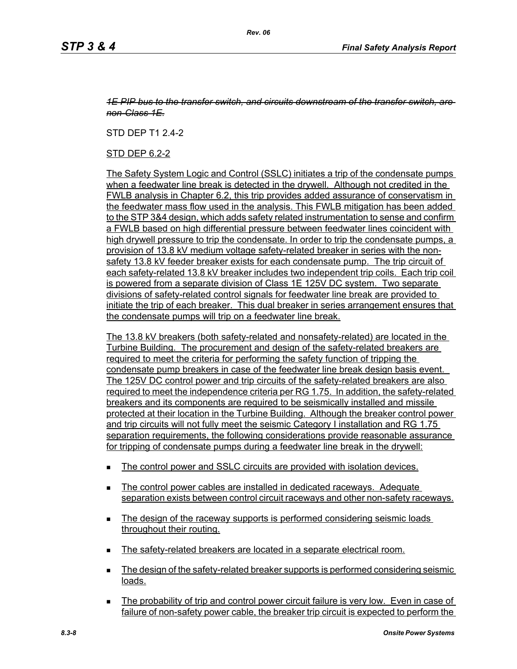#### *1E PIP bus to the transfer switch, and circuits downstream of the transfer switch, are non-Class 1E.*

STD DEP T1 2.4-2

STD DEP 6.2-2

The Safety System Logic and Control (SSLC) initiates a trip of the condensate pumps when a feedwater line break is detected in the drywell. Although not credited in the FWLB analysis in Chapter 6.2, this trip provides added assurance of conservatism in the feedwater mass flow used in the analysis. This FWLB mitigation has been added to the STP 3&4 design, which adds safety related instrumentation to sense and confirm a FWLB based on high differential pressure between feedwater lines coincident with high drywell pressure to trip the condensate. In order to trip the condensate pumps, a provision of 13.8 kV medium voltage safety-related breaker in series with the nonsafety 13.8 kV feeder breaker exists for each condensate pump. The trip circuit of each safety-related 13.8 kV breaker includes two independent trip coils. Each trip coil is powered from a separate division of Class 1E 125V DC system. Two separate divisions of safety-related control signals for feedwater line break are provided to initiate the trip of each breaker. This dual breaker in series arrangement ensures that the condensate pumps will trip on a feedwater line break.

The 13.8 kV breakers (both safety-related and nonsafety-related) are located in the Turbine Building. The procurement and design of the safety-related breakers are required to meet the criteria for performing the safety function of tripping the condensate pump breakers in case of the feedwater line break design basis event. The 125V DC control power and trip circuits of the safety-related breakers are also required to meet the independence criteria per RG 1.75. In addition, the safety-related breakers and its components are required to be seismically installed and missile protected at their location in the Turbine Building. Although the breaker control power and trip circuits will not fully meet the seismic Category I installation and RG 1.75 separation requirements, the following considerations provide reasonable assurance for tripping of condensate pumps during a feedwater line break in the drywell:

- The control power and SSLC circuits are provided with isolation devices.
- The control power cables are installed in dedicated raceways. Adequate separation exists between control circuit raceways and other non-safety raceways.
- The design of the raceway supports is performed considering seismic loads throughout their routing.
- The safety-related breakers are located in a separate electrical room.
- **The design of the safety-related breaker supports is performed considering seismic** loads.
- The probability of trip and control power circuit failure is very low. Even in case of failure of non-safety power cable, the breaker trip circuit is expected to perform the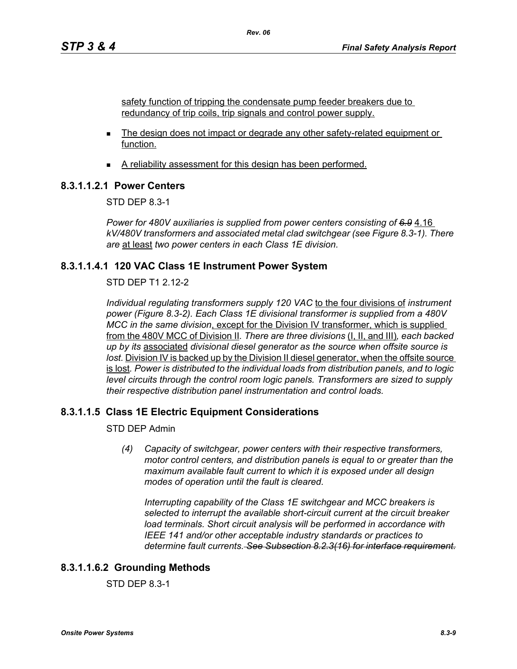safety function of tripping the condensate pump feeder breakers due to redundancy of trip coils, trip signals and control power supply.

- The design does not impact or degrade any other safety-related equipment or function.
- A reliability assessment for this design has been performed.

### **8.3.1.1.2.1 Power Centers**

STD DEP 8.3-1

*Power for 480V auxiliaries is supplied from power centers consisting of 6.9* 4.16 *kV/480V transformers and associated metal clad switchgear (see Figure 8.3-1). There are* at least *two power centers in each Class 1E division.*

### **8.3.1.1.4.1 120 VAC Class 1E Instrument Power System**

STD DEP T1 2.12-2

*Individual regulating transformers supply 120 VAC* to the four divisions of *instrument power (Figure 8.3-2). Each Class 1E divisional transformer is supplied from a 480V MCC in the same division*, except for the Division IV transformer, which is supplied from the 480V MCC of Division II*. There are three divisions* (I, II, and III)*, each backed up by its* associated *divisional diesel generator as the source when offsite source is lost.* Division IV is backed up by the Division II diesel generator, when the offsite source is lost*. Power is distributed to the individual loads from distribution panels, and to logic level circuits through the control room logic panels. Transformers are sized to supply their respective distribution panel instrumentation and control loads.*

# **8.3.1.1.5 Class 1E Electric Equipment Considerations**

STD DEP Admin

*(4) Capacity of switchgear, power centers with their respective transformers, motor control centers, and distribution panels is equal to or greater than the maximum available fault current to which it is exposed under all design modes of operation until the fault is cleared.*

*Interrupting capability of the Class 1E switchgear and MCC breakers is selected to interrupt the available short-circuit current at the circuit breaker load terminals. Short circuit analysis will be performed in accordance with IEEE 141 and/or other acceptable industry standards or practices to determine fault currents. See Subsection 8.2.3(16) for interface requirement.*

# **8.3.1.1.6.2 Grounding Methods**

STD DEP 8.3-1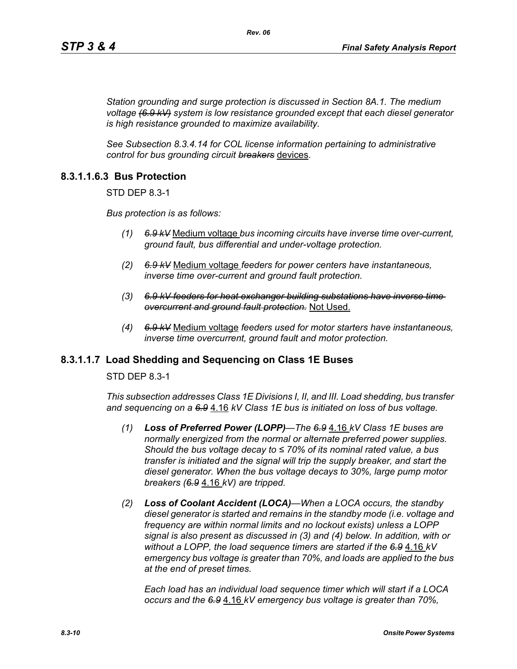*Station grounding and surge protection is discussed in Section 8A.1. The medium voltage (6.9 kV) system is low resistance grounded except that each diesel generator is high resistance grounded to maximize availability.*

*See Subsection 8.3.4.14 for COL license information pertaining to administrative control for bus grounding circuit breakers* devices.

### **8.3.1.1.6.3 Bus Protection**

STD DEP 8.3-1

*Bus protection is as follows:*

- *(1) 6.9 kV* Medium voltage *bus incoming circuits have inverse time over-current, ground fault, bus differential and under-voltage protection.*
- *(2) 6.9 kV* Medium voltage *feeders for power centers have instantaneous, inverse time over-current and ground fault protection.*
- *(3) 6.9 kV feeders for heat exchanger building substations have inverse time overcurrent and ground fault protection.* Not Used.
- *(4) 6.9 kV* Medium voltage *feeders used for motor starters have instantaneous, inverse time overcurrent, ground fault and motor protection.*

### **8.3.1.1.7 Load Shedding and Sequencing on Class 1E Buses**

STD DEP 8.3-1

*This subsection addresses Class 1E Divisions I, II, and III. Load shedding, bus transfer and sequencing on a 6.9* 4.16 *kV Class 1E bus is initiated on loss of bus voltage.*

- *(1) Loss of Preferred Power (LOPP)—The 6.9* 4.16 *kV Class 1E buses are normally energized from the normal or alternate preferred power supplies. Should the bus voltage decay to ≤ 70% of its nominal rated value, a bus transfer is initiated and the signal will trip the supply breaker, and start the diesel generator. When the bus voltage decays to 30%, large pump motor breakers (6.9* 4.16 *kV) are tripped.*
- *(2) Loss of Coolant Accident (LOCA)—When a LOCA occurs, the standby diesel generator is started and remains in the standby mode (i.e. voltage and frequency are within normal limits and no lockout exists) unless a LOPP signal is also present as discussed in (3) and (4) below. In addition, with or without a LOPP, the load sequence timers are started if the 6.9* 4.16 *kV emergency bus voltage is greater than 70%, and loads are applied to the bus at the end of preset times.*

*Each load has an individual load sequence timer which will start if a LOCA occurs and the 6.9* 4.16 *kV emergency bus voltage is greater than 70%,*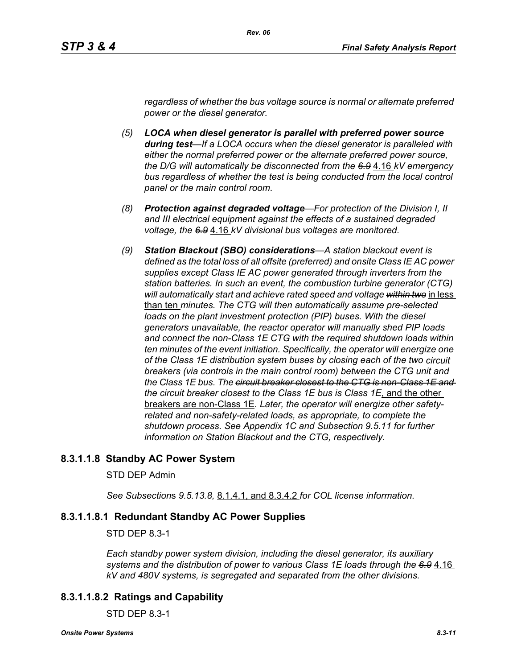*regardless of whether the bus voltage source is normal or alternate preferred power or the diesel generator.*

- *(5) LOCA when diesel generator is parallel with preferred power source during test—If a LOCA occurs when the diesel generator is paralleled with either the normal preferred power or the alternate preferred power source, the D/G will automatically be disconnected from the 6.9* 4.16 *kV emergency bus regardless of whether the test is being conducted from the local control panel or the main control room.*
- *(8) Protection against degraded voltage—For protection of the Division I, II and III electrical equipment against the effects of a sustained degraded voltage, the 6.9* 4.16 *kV divisional bus voltages are monitored.*
- *(9) Station Blackout (SBO) considerations—A station blackout event is defined as the total loss of all offsite (preferred) and onsite Class IE AC power supplies except Class IE AC power generated through inverters from the station batteries. In such an event, the combustion turbine generator (CTG) will automatically start and achieve rated speed and voltage within two* in less than ten *minutes. The CTG will then automatically assume pre-selected*  loads on the plant investment protection (PIP) buses. With the diesel *generators unavailable, the reactor operator will manually shed PIP loads and connect the non-Class 1E CTG with the required shutdown loads within ten minutes of the event initiation. Specifically, the operator will energize one of the Class 1E distribution system buses by closing each of the two circuit breakers (via controls in the main control room) between the CTG unit and the Class 1E bus. The circuit breaker closest to the CTG is non-Class 1E and the circuit breaker closest to the Class 1E bus is Class 1E*, and the other breakers are non-Class 1E*. Later, the operator will energize other safetyrelated and non-safety-related loads, as appropriate, to complete the shutdown process. See Appendix 1C and Subsection 9.5.11 for further information on Station Blackout and the CTG, respectively.*

# **8.3.1.1.8 Standby AC Power System**

#### STD DEP Admin

*See Subsection*s *9.5.13.8,* 8.1.4.1, and 8.3.4.2 *for COL license information.*

### **8.3.1.1.8.1 Redundant Standby AC Power Supplies**

#### STD DEP 8.3-1

*Each standby power system division, including the diesel generator, its auxiliary systems and the distribution of power to various Class 1E loads through the 6.9* 4.16 *kV and 480V systems, is segregated and separated from the other divisions.*

### **8.3.1.1.8.2 Ratings and Capability**

STD DEP 8.3-1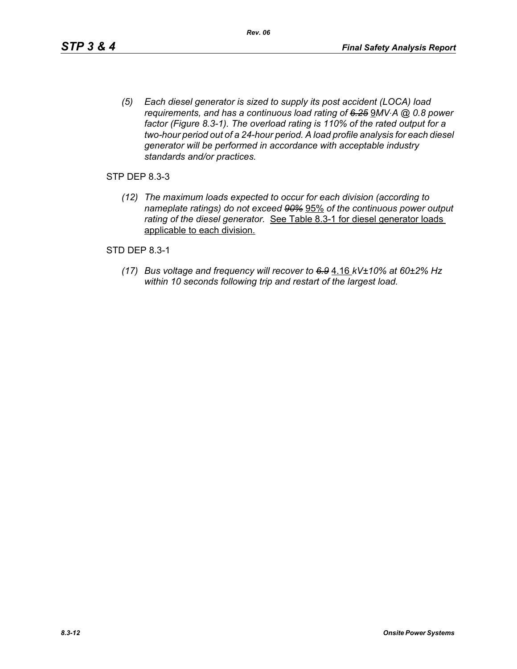*(5) Each diesel generator is sized to supply its post accident (LOCA) load requirements, and has a continuous load rating of 6.25* 9*MV*⋅*A @ 0.8 power factor (Figure 8.3-1). The overload rating is 110% of the rated output for a two-hour period out of a 24-hour period. A load profile analysis for each diesel generator will be performed in accordance with acceptable industry standards and/or practices.*

STP DEP 8.3-3

*(12) The maximum loads expected to occur for each division (according to nameplate ratings) do not exceed 90%* 95% *of the continuous power output rating of the diesel generator.* See Table 8.3-1 for diesel generator loads applicable to each division.

STD DEP 8.3-1

*(17) Bus voltage and frequency will recover to 6.9* 4.16 *kV±10% at 60±2% Hz within 10 seconds following trip and restart of the largest load.*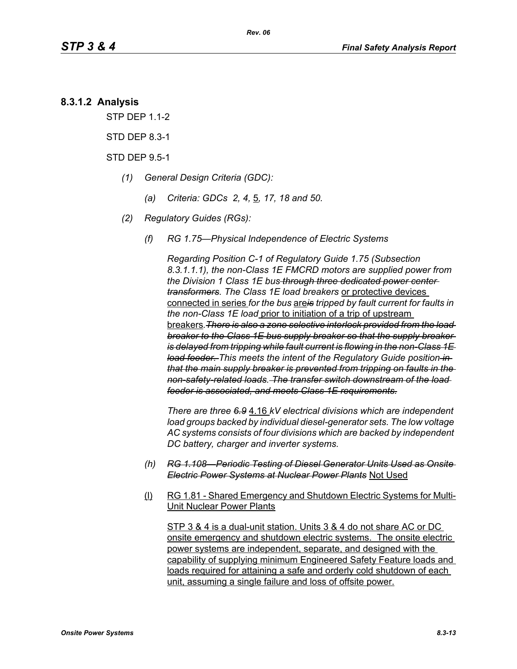### **8.3.1.2 Analysis**

STP DEP 1.1-2

STD DEP 8.3-1

STD DEP 9.5-1

- *(1) General Design Criteria (GDC):*
	- *(a) Criteria: GDCs 2, 4,* 5*, 17, 18 and 50.*
- *(2) Regulatory Guides (RGs):*
	- *(f) RG 1.75—Physical Independence of Electric Systems*

*Regarding Position C-1 of Regulatory Guide 1.75 (Subsection 8.3.1.1.1), the non-Class 1E FMCRD motors are supplied power from the Division 1 Class 1E bus through three dedicated power center transformers. The Class 1E load breakers* or protective devices connected in series *for the bus* are*is tripped by fault current for faults in the non-Class 1E load* prior to initiation of a trip of upstream breakers*.There is also a zone selective interlock provided from the load breaker to the Class 1E bus supply breaker so that the supply breaker is delayed from tripping while fault current is flowing in the non-Class 1E load feeder. This meets the intent of the Regulatory Guide position in that the main supply breaker is prevented from tripping on faults in the non-safety-related loads. The transfer switch downstream of the load feeder is associated, and meets Class 1E requirements.*

*There are three 6.9* 4.16 *kV electrical divisions which are independent load groups backed by individual diesel-generator sets. The low voltage AC systems consists of four divisions which are backed by independent DC battery, charger and inverter systems.*

- *(h) RG 1.108—Periodic Testing of Diesel Generator Units Used as Onsite Electric Power Systems at Nuclear Power Plants* Not Used
- (l) RG 1.81 Shared Emergency and Shutdown Electric Systems for Multi-Unit Nuclear Power Plants

STP 3 & 4 is a dual-unit station. Units 3 & 4 do not share AC or DC onsite emergency and shutdown electric systems. The onsite electric power systems are independent, separate, and designed with the capability of supplying minimum Engineered Safety Feature loads and loads required for attaining a safe and orderly cold shutdown of each unit, assuming a single failure and loss of offsite power.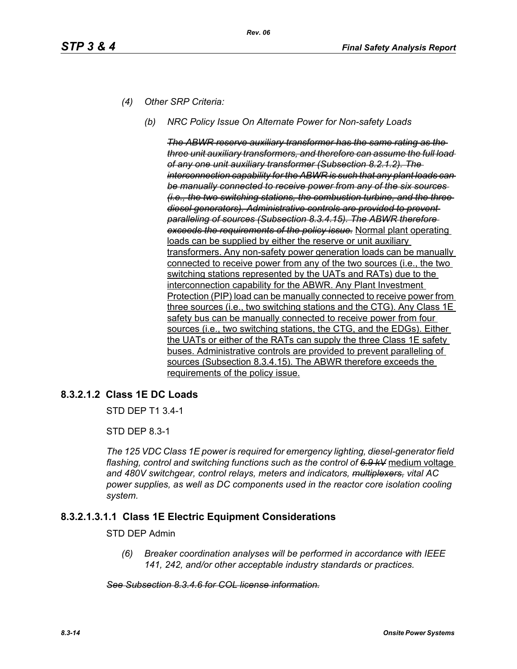- *(4) Other SRP Criteria:*
	- *(b) NRC Policy Issue On Alternate Power for Non-safety Loads*

*The ABWR reserve auxiliary transformer has the same rating as the three unit auxiliary transformers, and therefore can assume the full load of any one unit auxiliary transformer (Subsection 8.2.1.2). The interconnection capability for the ABWR is such that any plant loads can be manually connected to receive power from any of the six sources (i.e., the two switching stations, the combustion turbine, and the three diesel generators). Administrative controls are provided to prevent paralleling of sources (Subsection 8.3.4.15). The ABWR therefore exceeds the requirements of the policy issue.* Normal plant operating loads can be supplied by either the reserve or unit auxiliary transformers. Any non-safety power generation loads can be manually connected to receive power from any of the two sources (i.e., the two switching stations represented by the UATs and RATs) due to the interconnection capability for the ABWR. Any Plant Investment Protection (PIP) load can be manually connected to receive power from three sources (i.e., two switching stations and the CTG). Any Class 1E safety bus can be manually connected to receive power from four sources (i.e., two switching stations, the CTG, and the EDGs). Either the UATs or either of the RATs can supply the three Class 1E safety buses. Administrative controls are provided to prevent paralleling of sources (Subsection 8.3.4.15). The ABWR therefore exceeds the requirements of the policy issue.

# **8.3.2.1.2 Class 1E DC Loads**

STD DEP T1 3.4-1

STD DEP 8.3-1

*The 125 VDC Class 1E power is required for emergency lighting, diesel-generator field flashing, control and switching functions such as the control of 6.9 kV* medium voltage *and 480V switchgear, control relays, meters and indicators, multiplexers, vital AC power supplies, as well as DC components used in the reactor core isolation cooling system.*

### **8.3.2.1.3.1.1 Class 1E Electric Equipment Considerations**

#### STD DEP Admin

*(6) Breaker coordination analyses will be performed in accordance with IEEE 141, 242, and/or other acceptable industry standards or practices.*

#### *See Subsection 8.3.4.6 for COL license information.*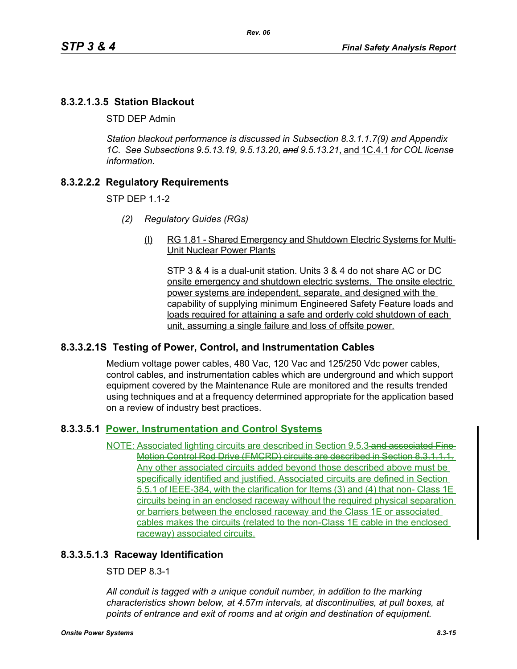# **8.3.2.1.3.5 Station Blackout**

STD DEP Admin

*Station blackout performance is discussed in Subsection 8.3.1.1.7(9) and Appendix 1C. See Subsections 9.5.13.19, 9.5.13.20, and 9.5.13.21*, and 1C.4.1 *for COL license information.*

# **8.3.2.2.2 Regulatory Requirements**

STP DEP 1.1-2

- *(2) Regulatory Guides (RGs)*
	- (l) RG 1.81 Shared Emergency and Shutdown Electric Systems for Multi-Unit Nuclear Power Plants

STP 3 & 4 is a dual-unit station. Units 3 & 4 do not share AC or DC onsite emergency and shutdown electric systems. The onsite electric power systems are independent, separate, and designed with the capability of supplying minimum Engineered Safety Feature loads and loads required for attaining a safe and orderly cold shutdown of each unit, assuming a single failure and loss of offsite power.

### **8.3.3.2.1S Testing of Power, Control, and Instrumentation Cables**

Medium voltage power cables, 480 Vac, 120 Vac and 125/250 Vdc power cables, control cables, and instrumentation cables which are underground and which support equipment covered by the Maintenance Rule are monitored and the results trended using techniques and at a frequency determined appropriate for the application based on a review of industry best practices.

# **8.3.3.5.1 Power, Instrumentation and Control Systems**

NOTE: Associated lighting circuits are described in Section 9.5.3 and associated Fine-Motion Control Rod Drive (FMCRD) circuits are described in Section 8.3.1.1.1. Any other associated circuits added beyond those described above must be specifically identified and justified. Associated circuits are defined in Section 5.5.1 of IEEE-384, with the clarification for Items (3) and (4) that non- Class 1E circuits being in an enclosed raceway without the required physical separation or barriers between the enclosed raceway and the Class 1E or associated cables makes the circuits (related to the non-Class 1E cable in the enclosed raceway) associated circuits.

### **8.3.3.5.1.3 Raceway Identification**

STD DEP 8.3-1

*All conduit is tagged with a unique conduit number, in addition to the marking characteristics shown below, at 4.57m intervals, at discontinuities, at pull boxes, at points of entrance and exit of rooms and at origin and destination of equipment.*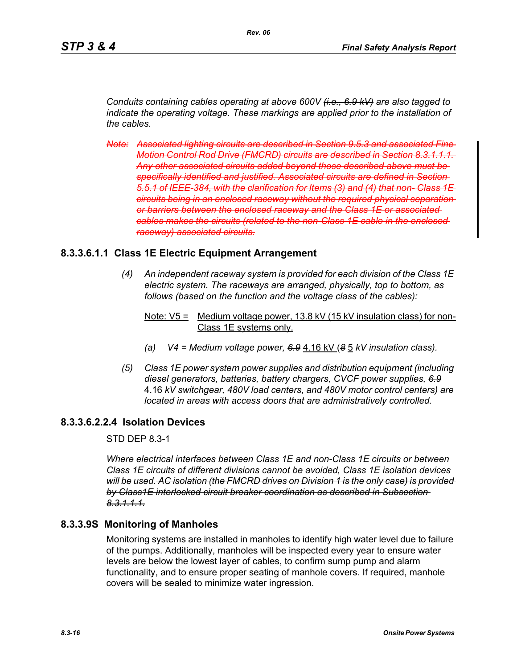*Conduits containing cables operating at above 600V (i.e., 6.9 kV) are also tagged to indicate the operating voltage. These markings are applied prior to the installation of the cables.*

*Note: Associated lighting circuits are described in Section 9.5.3 and associated Fine Motion Control Rod Drive (FMCRD) circuits are described in Section 8.3.1.1.1. Any other associated circuits added beyond those described above must be specifically identified and justified. Associated circuits are defined in Section 5.5.1 of IEEE-384, with the clarification for Items (3) and (4) that non- Class 1E circuits being in an enclosed raceway without the required physical separation or barriers between the enclosed raceway and the Class 1E or associated cables makes the circuits (related to the non-Class 1E cable in the enclosed raceway) associated circuits.*

### **8.3.3.6.1.1 Class 1E Electric Equipment Arrangement**

*(4) An independent raceway system is provided for each division of the Class 1E electric system. The raceways are arranged, physically, top to bottom, as follows (based on the function and the voltage class of the cables):*

#### Note:  $V5 =$  Medium voltage power, 13.8 kV (15 kV insulation class) for non-Class 1E systems only.

- *(a) V4 = Medium voltage power, 6.9* 4.16 kV (*8* 5 *kV insulation class).*
- *(5) Class 1E power system power supplies and distribution equipment (including diesel generators, batteries, battery chargers, CVCF power supplies, 6.9* 4.16 *kV switchgear, 480V load centers, and 480V motor control centers) are located in areas with access doors that are administratively controlled.*

### **8.3.3.6.2.2.4 Isolation Devices**

STD DEP 8.3-1

*Where electrical interfaces between Class 1E and non-Class 1E circuits or between Class 1E circuits of different divisions cannot be avoided, Class 1E isolation devices will be used. AC isolation (the FMCRD drives on Division 1 is the only case) is provided by Class1E interlocked circuit breaker coordination as described in Subsection 8.3.1.1.1.*

# **8.3.3.9S Monitoring of Manholes**

Monitoring systems are installed in manholes to identify high water level due to failure of the pumps. Additionally, manholes will be inspected every year to ensure water levels are below the lowest layer of cables, to confirm sump pump and alarm functionality, and to ensure proper seating of manhole covers. If required, manhole covers will be sealed to minimize water ingression.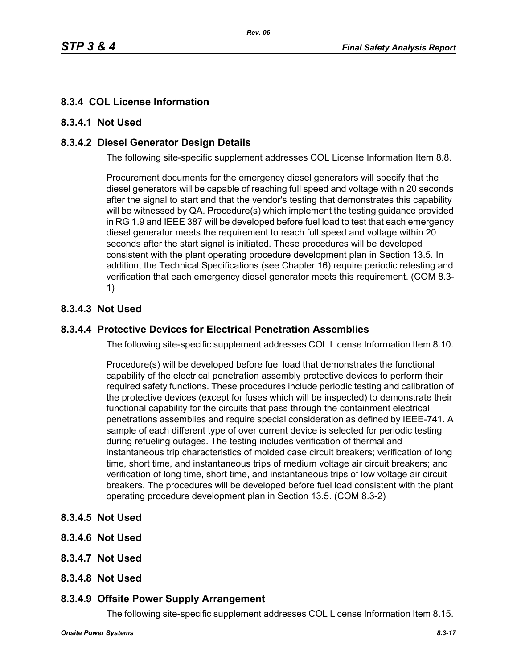# **8.3.4 COL License Information**

# **8.3.4.1 Not Used**

# **8.3.4.2 Diesel Generator Design Details**

The following site-specific supplement addresses COL License Information Item 8.8.

Procurement documents for the emergency diesel generators will specify that the diesel generators will be capable of reaching full speed and voltage within 20 seconds after the signal to start and that the vendor's testing that demonstrates this capability will be witnessed by QA. Procedure(s) which implement the testing guidance provided in RG 1.9 and IEEE 387 will be developed before fuel load to test that each emergency diesel generator meets the requirement to reach full speed and voltage within 20 seconds after the start signal is initiated. These procedures will be developed consistent with the plant operating procedure development plan in Section 13.5. In addition, the Technical Specifications (see Chapter 16) require periodic retesting and verification that each emergency diesel generator meets this requirement. (COM 8.3- 1)

# **8.3.4.3 Not Used**

# **8.3.4.4 Protective Devices for Electrical Penetration Assemblies**

The following site-specific supplement addresses COL License Information Item 8.10.

Procedure(s) will be developed before fuel load that demonstrates the functional capability of the electrical penetration assembly protective devices to perform their required safety functions. These procedures include periodic testing and calibration of the protective devices (except for fuses which will be inspected) to demonstrate their functional capability for the circuits that pass through the containment electrical penetrations assemblies and require special consideration as defined by IEEE-741. A sample of each different type of over current device is selected for periodic testing during refueling outages. The testing includes verification of thermal and instantaneous trip characteristics of molded case circuit breakers; verification of long time, short time, and instantaneous trips of medium voltage air circuit breakers; and verification of long time, short time, and instantaneous trips of low voltage air circuit breakers. The procedures will be developed before fuel load consistent with the plant operating procedure development plan in Section 13.5. (COM 8.3-2)

- **8.3.4.5 Not Used**
- **8.3.4.6 Not Used**
- **8.3.4.7 Not Used**
- **8.3.4.8 Not Used**

# **8.3.4.9 Offsite Power Supply Arrangement**

The following site-specific supplement addresses COL License Information Item 8.15.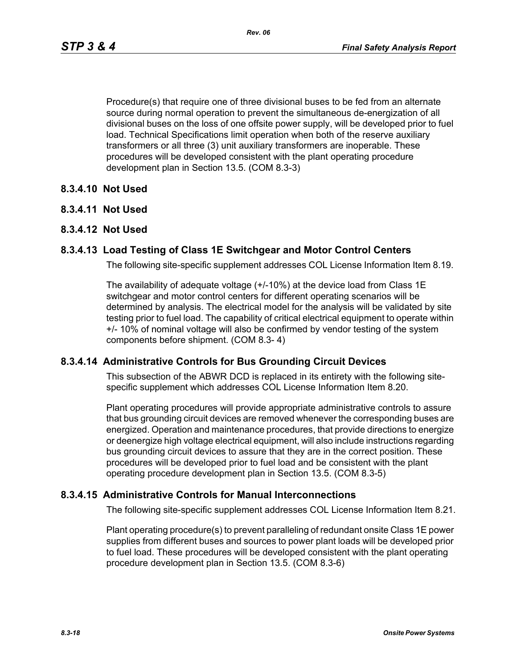Procedure(s) that require one of three divisional buses to be fed from an alternate source during normal operation to prevent the simultaneous de-energization of all divisional buses on the loss of one offsite power supply, will be developed prior to fuel load. Technical Specifications limit operation when both of the reserve auxiliary transformers or all three (3) unit auxiliary transformers are inoperable. These procedures will be developed consistent with the plant operating procedure development plan in Section 13.5. (COM 8.3-3)

### **8.3.4.10 Not Used**

**8.3.4.11 Not Used**

### **8.3.4.12 Not Used**

### **8.3.4.13 Load Testing of Class 1E Switchgear and Motor Control Centers**

The following site-specific supplement addresses COL License Information Item 8.19.

The availability of adequate voltage (+/-10%) at the device load from Class 1E switchgear and motor control centers for different operating scenarios will be determined by analysis. The electrical model for the analysis will be validated by site testing prior to fuel load. The capability of critical electrical equipment to operate within +/- 10% of nominal voltage will also be confirmed by vendor testing of the system components before shipment. (COM 8.3- 4)

### **8.3.4.14 Administrative Controls for Bus Grounding Circuit Devices**

This subsection of the ABWR DCD is replaced in its entirety with the following sitespecific supplement which addresses COL License Information Item 8.20.

Plant operating procedures will provide appropriate administrative controls to assure that bus grounding circuit devices are removed whenever the corresponding buses are energized. Operation and maintenance procedures, that provide directions to energize or deenergize high voltage electrical equipment, will also include instructions regarding bus grounding circuit devices to assure that they are in the correct position. These procedures will be developed prior to fuel load and be consistent with the plant operating procedure development plan in Section 13.5. (COM 8.3-5)

### **8.3.4.15 Administrative Controls for Manual Interconnections**

The following site-specific supplement addresses COL License Information Item 8.21.

Plant operating procedure(s) to prevent paralleling of redundant onsite Class 1E power supplies from different buses and sources to power plant loads will be developed prior to fuel load. These procedures will be developed consistent with the plant operating procedure development plan in Section 13.5. (COM 8.3-6)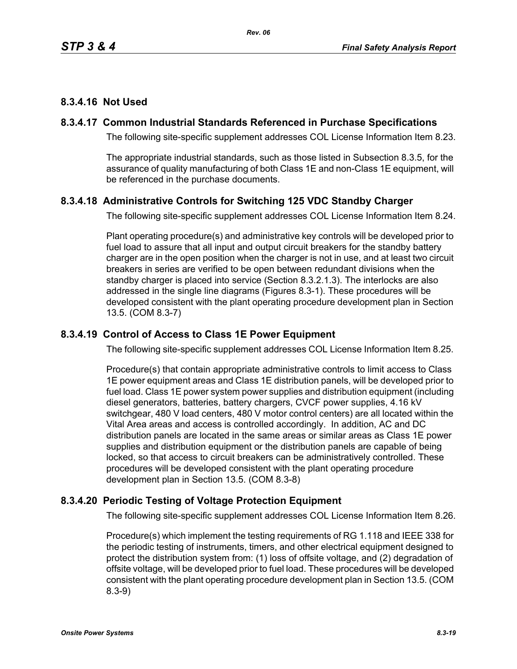# **8.3.4.16 Not Used**

# **8.3.4.17 Common Industrial Standards Referenced in Purchase Specifications**

The following site-specific supplement addresses COL License Information Item 8.23.

The appropriate industrial standards, such as those listed in Subsection 8.3.5, for the assurance of quality manufacturing of both Class 1E and non-Class 1E equipment, will be referenced in the purchase documents.

# **8.3.4.18 Administrative Controls for Switching 125 VDC Standby Charger**

The following site-specific supplement addresses COL License Information Item 8.24.

Plant operating procedure(s) and administrative key controls will be developed prior to fuel load to assure that all input and output circuit breakers for the standby battery charger are in the open position when the charger is not in use, and at least two circuit breakers in series are verified to be open between redundant divisions when the standby charger is placed into service (Section 8.3.2.1.3). The interlocks are also addressed in the single line diagrams (Figures 8.3-1). These procedures will be developed consistent with the plant operating procedure development plan in Section 13.5. (COM 8.3-7)

# **8.3.4.19 Control of Access to Class 1E Power Equipment**

The following site-specific supplement addresses COL License Information Item 8.25.

Procedure(s) that contain appropriate administrative controls to limit access to Class 1E power equipment areas and Class 1E distribution panels, will be developed prior to fuel load. Class 1E power system power supplies and distribution equipment (including diesel generators, batteries, battery chargers, CVCF power supplies, 4.16 kV switchgear, 480 V load centers, 480 V motor control centers) are all located within the Vital Area areas and access is controlled accordingly. In addition, AC and DC distribution panels are located in the same areas or similar areas as Class 1E power supplies and distribution equipment or the distribution panels are capable of being locked, so that access to circuit breakers can be administratively controlled. These procedures will be developed consistent with the plant operating procedure development plan in Section 13.5. (COM 8.3-8)

# **8.3.4.20 Periodic Testing of Voltage Protection Equipment**

The following site-specific supplement addresses COL License Information Item 8.26.

Procedure(s) which implement the testing requirements of RG 1.118 and IEEE 338 for the periodic testing of instruments, timers, and other electrical equipment designed to protect the distribution system from: (1) loss of offsite voltage, and (2) degradation of offsite voltage, will be developed prior to fuel load. These procedures will be developed consistent with the plant operating procedure development plan in Section 13.5. (COM 8.3-9)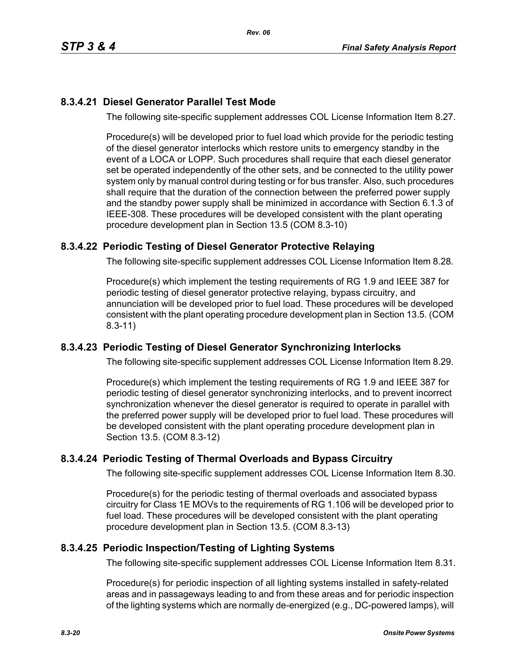# **8.3.4.21 Diesel Generator Parallel Test Mode**

The following site-specific supplement addresses COL License Information Item 8.27.

Procedure(s) will be developed prior to fuel load which provide for the periodic testing of the diesel generator interlocks which restore units to emergency standby in the event of a LOCA or LOPP. Such procedures shall require that each diesel generator set be operated independently of the other sets, and be connected to the utility power system only by manual control during testing or for bus transfer. Also, such procedures shall require that the duration of the connection between the preferred power supply and the standby power supply shall be minimized in accordance with Section 6.1.3 of IEEE-308. These procedures will be developed consistent with the plant operating procedure development plan in Section 13.5 (COM 8.3-10)

# **8.3.4.22 Periodic Testing of Diesel Generator Protective Relaying**

The following site-specific supplement addresses COL License Information Item 8.28.

Procedure(s) which implement the testing requirements of RG 1.9 and IEEE 387 for periodic testing of diesel generator protective relaying, bypass circuitry, and annunciation will be developed prior to fuel load. These procedures will be developed consistent with the plant operating procedure development plan in Section 13.5. (COM 8.3-11)

# **8.3.4.23 Periodic Testing of Diesel Generator Synchronizing Interlocks**

The following site-specific supplement addresses COL License Information Item 8.29.

Procedure(s) which implement the testing requirements of RG 1.9 and IEEE 387 for periodic testing of diesel generator synchronizing interlocks, and to prevent incorrect synchronization whenever the diesel generator is required to operate in parallel with the preferred power supply will be developed prior to fuel load. These procedures will be developed consistent with the plant operating procedure development plan in Section 13.5. (COM 8.3-12)

# **8.3.4.24 Periodic Testing of Thermal Overloads and Bypass Circuitry**

The following site-specific supplement addresses COL License Information Item 8.30.

Procedure(s) for the periodic testing of thermal overloads and associated bypass circuitry for Class 1E MOVs to the requirements of RG 1.106 will be developed prior to fuel load. These procedures will be developed consistent with the plant operating procedure development plan in Section 13.5. (COM 8.3-13)

# **8.3.4.25 Periodic Inspection/Testing of Lighting Systems**

The following site-specific supplement addresses COL License Information Item 8.31.

Procedure(s) for periodic inspection of all lighting systems installed in safety-related areas and in passageways leading to and from these areas and for periodic inspection of the lighting systems which are normally de-energized (e.g., DC-powered lamps), will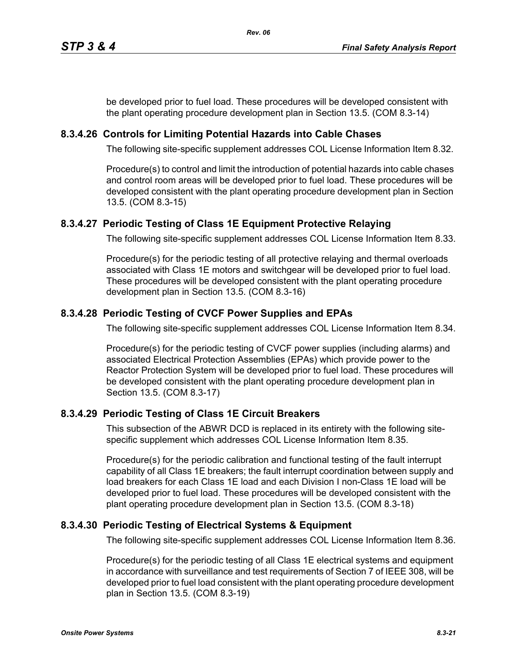be developed prior to fuel load. These procedures will be developed consistent with the plant operating procedure development plan in Section 13.5. (COM 8.3-14)

# **8.3.4.26 Controls for Limiting Potential Hazards into Cable Chases**

The following site-specific supplement addresses COL License Information Item 8.32.

Procedure(s) to control and limit the introduction of potential hazards into cable chases and control room areas will be developed prior to fuel load. These procedures will be developed consistent with the plant operating procedure development plan in Section 13.5. (COM 8.3-15)

# **8.3.4.27 Periodic Testing of Class 1E Equipment Protective Relaying**

The following site-specific supplement addresses COL License Information Item 8.33.

Procedure(s) for the periodic testing of all protective relaying and thermal overloads associated with Class 1E motors and switchgear will be developed prior to fuel load. These procedures will be developed consistent with the plant operating procedure development plan in Section 13.5. (COM 8.3-16)

# **8.3.4.28 Periodic Testing of CVCF Power Supplies and EPAs**

The following site-specific supplement addresses COL License Information Item 8.34.

Procedure(s) for the periodic testing of CVCF power supplies (including alarms) and associated Electrical Protection Assemblies (EPAs) which provide power to the Reactor Protection System will be developed prior to fuel load. These procedures will be developed consistent with the plant operating procedure development plan in Section 13.5. (COM 8.3-17)

# **8.3.4.29 Periodic Testing of Class 1E Circuit Breakers**

This subsection of the ABWR DCD is replaced in its entirety with the following sitespecific supplement which addresses COL License Information Item 8.35.

Procedure(s) for the periodic calibration and functional testing of the fault interrupt capability of all Class 1E breakers; the fault interrupt coordination between supply and load breakers for each Class 1E load and each Division I non-Class 1E load will be developed prior to fuel load. These procedures will be developed consistent with the plant operating procedure development plan in Section 13.5. (COM 8.3-18)

# **8.3.4.30 Periodic Testing of Electrical Systems & Equipment**

The following site-specific supplement addresses COL License Information Item 8.36.

Procedure(s) for the periodic testing of all Class 1E electrical systems and equipment in accordance with surveillance and test requirements of Section 7 of IEEE 308, will be developed prior to fuel load consistent with the plant operating procedure development plan in Section 13.5. (COM 8.3-19)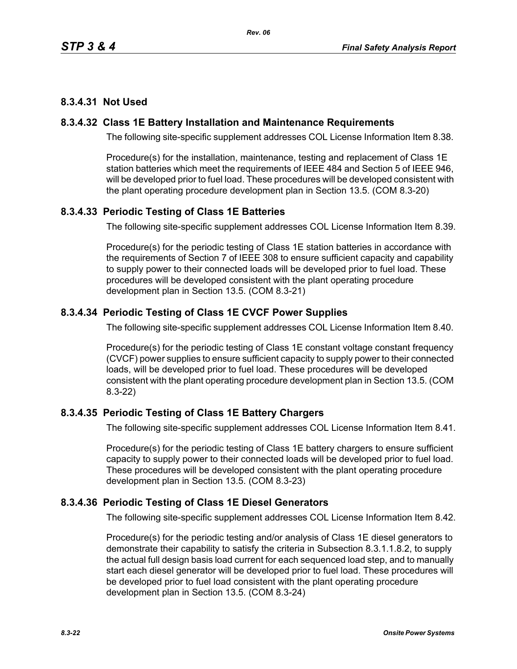# **8.3.4.31 Not Used**

### **8.3.4.32 Class 1E Battery Installation and Maintenance Requirements**

The following site-specific supplement addresses COL License Information Item 8.38.

Procedure(s) for the installation, maintenance, testing and replacement of Class 1E station batteries which meet the requirements of IEEE 484 and Section 5 of IEEE 946, will be developed prior to fuel load. These procedures will be developed consistent with the plant operating procedure development plan in Section 13.5. (COM 8.3-20)

# **8.3.4.33 Periodic Testing of Class 1E Batteries**

The following site-specific supplement addresses COL License Information Item 8.39.

Procedure(s) for the periodic testing of Class 1E station batteries in accordance with the requirements of Section 7 of IEEE 308 to ensure sufficient capacity and capability to supply power to their connected loads will be developed prior to fuel load. These procedures will be developed consistent with the plant operating procedure development plan in Section 13.5. (COM 8.3-21)

# **8.3.4.34 Periodic Testing of Class 1E CVCF Power Supplies**

The following site-specific supplement addresses COL License Information Item 8.40.

Procedure(s) for the periodic testing of Class 1E constant voltage constant frequency (CVCF) power supplies to ensure sufficient capacity to supply power to their connected loads, will be developed prior to fuel load. These procedures will be developed consistent with the plant operating procedure development plan in Section 13.5. (COM 8.3-22)

# **8.3.4.35 Periodic Testing of Class 1E Battery Chargers**

The following site-specific supplement addresses COL License Information Item 8.41.

Procedure(s) for the periodic testing of Class 1E battery chargers to ensure sufficient capacity to supply power to their connected loads will be developed prior to fuel load. These procedures will be developed consistent with the plant operating procedure development plan in Section 13.5. (COM 8.3-23)

### **8.3.4.36 Periodic Testing of Class 1E Diesel Generators**

The following site-specific supplement addresses COL License Information Item 8.42.

Procedure(s) for the periodic testing and/or analysis of Class 1E diesel generators to demonstrate their capability to satisfy the criteria in Subsection 8.3.1.1.8.2, to supply the actual full design basis load current for each sequenced load step, and to manually start each diesel generator will be developed prior to fuel load. These procedures will be developed prior to fuel load consistent with the plant operating procedure development plan in Section 13.5. (COM 8.3-24)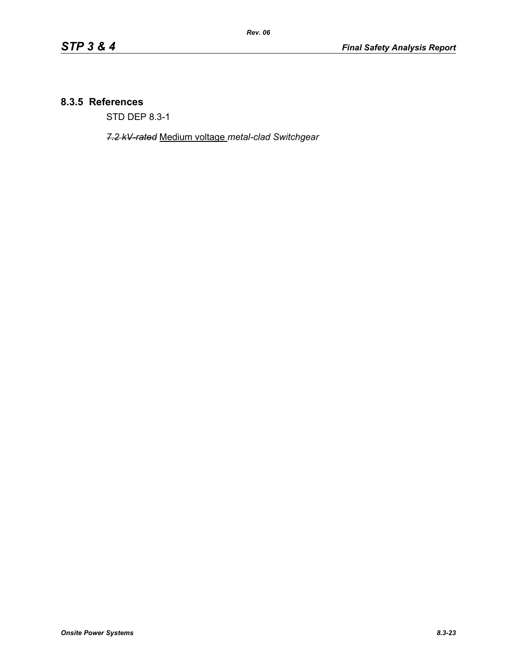### **8.3.5 References**

STD DEP 8.3-1

*7.2 kV-rated* Medium voltage *metal-clad Switchgear*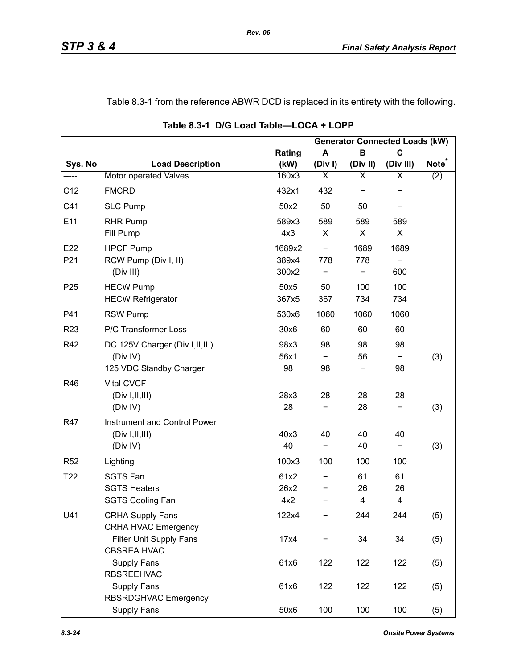# Table 8.3-1 from the reference ABWR DCD is replaced in its entirety with the following.

|                 |                                                                         |                          |                                 |               | <b>Generator Connected Loads (kW)</b> |                   |
|-----------------|-------------------------------------------------------------------------|--------------------------|---------------------------------|---------------|---------------------------------------|-------------------|
|                 |                                                                         | Rating                   | A                               | B             | $\mathbf C$                           |                   |
| Sys. No         | <b>Load Description</b>                                                 | (kW)                     | (Div)                           | (Div II)      | (Div III)                             | Note <sup>®</sup> |
| -----           | <b>Motor operated Valves</b>                                            | 160x3                    | Χ                               | Χ             | Χ                                     | (2)               |
| C12             | <b>FMCRD</b>                                                            | 432x1                    | 432                             |               |                                       |                   |
| C <sub>41</sub> | <b>SLC Pump</b>                                                         | 50x2                     | 50                              | 50            |                                       |                   |
| E11             | <b>RHR Pump</b><br>Fill Pump                                            | 589x3<br>4x3             | 589<br>X                        | 589<br>X      | 589<br>X                              |                   |
| E22<br>P21      | <b>HPCF Pump</b><br>RCW Pump (Div I, II)<br>(Div III)                   | 1689x2<br>389x4<br>300x2 | $\overline{\phantom{a}}$<br>778 | 1689<br>778   | 1689<br>600                           |                   |
| P <sub>25</sub> | <b>HECW Pump</b><br><b>HECW Refrigerator</b>                            | 50x5<br>367x5            | 50<br>367                       | 100<br>734    | 100<br>734                            |                   |
| P41             | <b>RSW Pump</b>                                                         | 530x6                    | 1060                            | 1060          | 1060                                  |                   |
| R <sub>23</sub> | P/C Transformer Loss                                                    | 30x6                     | 60                              | 60            | 60                                    |                   |
| R42             | DC 125V Charger (Div I, II, III)<br>(Div IV)<br>125 VDC Standby Charger | 98x3<br>56x1<br>98       | 98<br>-<br>98                   | 98<br>56      | 98<br>-<br>98                         | (3)               |
| R46             | <b>Vital CVCF</b><br>(Div I, II, III)<br>(Div IV)                       | 28x3<br>28               | 28                              | 28<br>28      | 28                                    | (3)               |
| R47             | Instrument and Control Power<br>(Div I, II, III)<br>(Div IV)            | 40x3<br>40               | 40                              | 40<br>40      | 40<br>-                               | (3)               |
| R <sub>52</sub> | Lighting                                                                | 100x3                    | 100                             | 100           | 100                                   |                   |
| T22             | <b>SGTS Fan</b><br><b>SGTS Heaters</b><br><b>SGTS Cooling Fan</b>       | 61x2<br>26x2<br>4x2      |                                 | 61<br>26<br>4 | 61<br>26<br>4                         |                   |
| U41             | <b>CRHA Supply Fans</b><br><b>CRHA HVAC Emergency</b>                   | 122x4                    |                                 | 244           | 244                                   | (5)               |
|                 | Filter Unit Supply Fans<br><b>CBSREA HVAC</b>                           | 17x4                     |                                 | 34            | 34                                    | (5)               |
|                 | <b>Supply Fans</b><br><b>RBSREEHVAC</b>                                 | 61x6                     | 122                             | 122           | 122                                   | (5)               |
|                 | <b>Supply Fans</b><br>RBSRDGHVAC Emergency                              | 61x6                     | 122                             | 122           | 122                                   | (5)               |
|                 | <b>Supply Fans</b>                                                      | 50x6                     | 100                             | 100           | 100                                   | (5)               |

**Table 8.3-1 D/G Load Table—LOCA + LOPP**

*Rev. 06*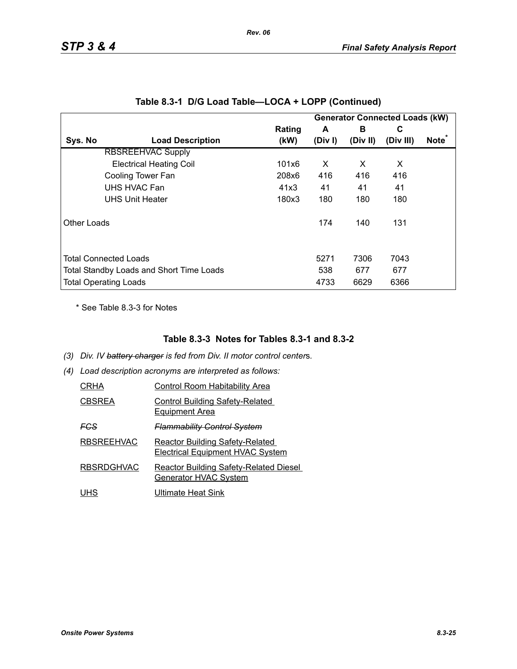|             |                                          |        |         |          | <b>Generator Connected Loads (kW)</b> |                   |
|-------------|------------------------------------------|--------|---------|----------|---------------------------------------|-------------------|
|             |                                          | Rating | A       | в        | C                                     |                   |
| Sys. No     | <b>Load Description</b>                  | (kW)   | (Div I) | (Div II) | (Div III)                             | Note <sup>*</sup> |
|             | <b>RBSREEHVAC Supply</b>                 |        |         |          |                                       |                   |
|             | <b>Electrical Heating Coil</b>           | 101x6  | X       | X        | X                                     |                   |
|             | Cooling Tower Fan                        | 208x6  | 416     | 416      | 416                                   |                   |
|             | UHS HVAC Fan                             | 41x3   | 41      | 41       | 41                                    |                   |
|             | <b>UHS Unit Heater</b>                   | 180x3  | 180     | 180      | 180                                   |                   |
| Other Loads |                                          |        | 174     | 140      | 131                                   |                   |
|             | <b>Total Connected Loads</b>             |        | 5271    | 7306     | 7043                                  |                   |
|             | Total Standby Loads and Short Time Loads |        | 538     | 677      | 677                                   |                   |
|             | <b>Total Operating Loads</b>             |        | 4733    | 6629     | 6366                                  |                   |

|  |  |  | Table 8.3-1 D/G Load Table—LOCA + LOPP (Continued) |
|--|--|--|----------------------------------------------------|
|--|--|--|----------------------------------------------------|

\* See Table 8.3-3 for Notes

### **Table 8.3-3 Notes for Tables 8.3-1 and 8.3-2**

- *(3) Div. IV battery charger is fed from Div. II motor control center*s*.*
- *(4) Load description acronyms are interpreted as follows:*

| CRHA              | Control Room Habitability Area                                                    |
|-------------------|-----------------------------------------------------------------------------------|
| <b>CBSREA</b>     | <b>Control Building Safety-Related</b><br><b>Equipment Area</b>                   |
| FCS               | <del>Flammability Control System</del>                                            |
| <b>RBSREEHVAC</b> | <b>Reactor Building Safety-Related</b><br><b>Electrical Equipment HVAC System</b> |
| <b>RBSRDGHVAC</b> | <b>Reactor Building Safety-Related Diesel</b><br>Generator HVAC System            |
| UHS               | Ultimate Heat Sink                                                                |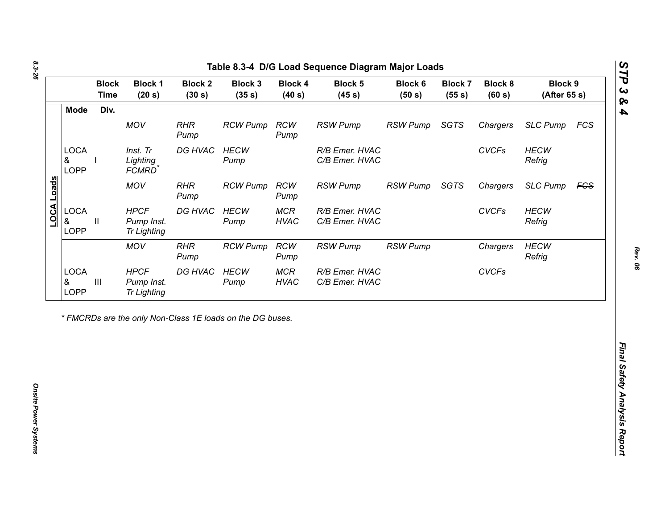| Div.<br><b>Mode</b><br>MOV<br><b>RHR</b><br><b>RCW Pump</b><br><b>RCW</b><br><b>RSW Pump</b><br><b>RSW Pump</b><br>SGTS<br>Chargers<br><b>SLC Pump</b><br><b>FCS</b><br>Pump<br>Pump<br><b>LOCA</b><br>DG HVAC<br><b>HECW</b><br>R/B Emer. HVAC<br><b>CVCFs</b><br><b>HECW</b><br>Inst. Tr<br>Lighting<br>C/B Emer. HVAC<br>Refrig<br>&<br>Pump<br><b>LOPP</b><br>FCMRD <sup>*</sup><br>LOCA Loads<br><b>MOV</b><br><b>RHR</b><br><b>RCW</b><br>SGTS<br><b>RCW Pump</b><br><b>RSW Pump</b><br><b>RSW Pump</b><br>Chargers<br><b>SLC Pump</b><br>Pump<br>Pump<br><b>LOCA</b><br><b>HPCF</b><br><b>HECW</b><br><b>MCR</b><br><b>CVCFs</b><br><b>HECW</b><br>DG HVAC<br>R/B Emer. HVAC<br>&<br><b>HVAC</b><br>$\mathbf{II}$<br>Pump Inst.<br>C/B Emer. HVAC<br>Refrig<br>Pump<br><b>LOPP</b><br><b>Tr Lighting</b><br><b>RCW</b><br><b>HECW</b><br><b>MOV</b><br><b>RHR</b><br><b>RSW Pump</b><br><b>RSW Pump</b><br><b>RCW Pump</b><br>Chargers<br>Refrig<br>Pump<br>Pump<br><b>LOCA</b><br><b>CVCFs</b><br><b>HPCF</b><br>DG HVAC<br><b>HECW</b><br><b>MCR</b><br>R/B Emer. HVAC<br>$\ensuremath{\mathsf{III}}\xspace$<br>&<br><b>HVAC</b><br>Pump Inst.<br>Pump<br>C/B Emer. HVAC<br><b>LOPP</b><br><b>Tr Lighting</b> |
|------------------------------------------------------------------------------------------------------------------------------------------------------------------------------------------------------------------------------------------------------------------------------------------------------------------------------------------------------------------------------------------------------------------------------------------------------------------------------------------------------------------------------------------------------------------------------------------------------------------------------------------------------------------------------------------------------------------------------------------------------------------------------------------------------------------------------------------------------------------------------------------------------------------------------------------------------------------------------------------------------------------------------------------------------------------------------------------------------------------------------------------------------------------------------------------------------------------------|
| <b>FGS</b>                                                                                                                                                                                                                                                                                                                                                                                                                                                                                                                                                                                                                                                                                                                                                                                                                                                                                                                                                                                                                                                                                                                                                                                                             |
|                                                                                                                                                                                                                                                                                                                                                                                                                                                                                                                                                                                                                                                                                                                                                                                                                                                                                                                                                                                                                                                                                                                                                                                                                        |
|                                                                                                                                                                                                                                                                                                                                                                                                                                                                                                                                                                                                                                                                                                                                                                                                                                                                                                                                                                                                                                                                                                                                                                                                                        |
|                                                                                                                                                                                                                                                                                                                                                                                                                                                                                                                                                                                                                                                                                                                                                                                                                                                                                                                                                                                                                                                                                                                                                                                                                        |
|                                                                                                                                                                                                                                                                                                                                                                                                                                                                                                                                                                                                                                                                                                                                                                                                                                                                                                                                                                                                                                                                                                                                                                                                                        |
|                                                                                                                                                                                                                                                                                                                                                                                                                                                                                                                                                                                                                                                                                                                                                                                                                                                                                                                                                                                                                                                                                                                                                                                                                        |

*Rev. 06*

*STP 3 & 4*